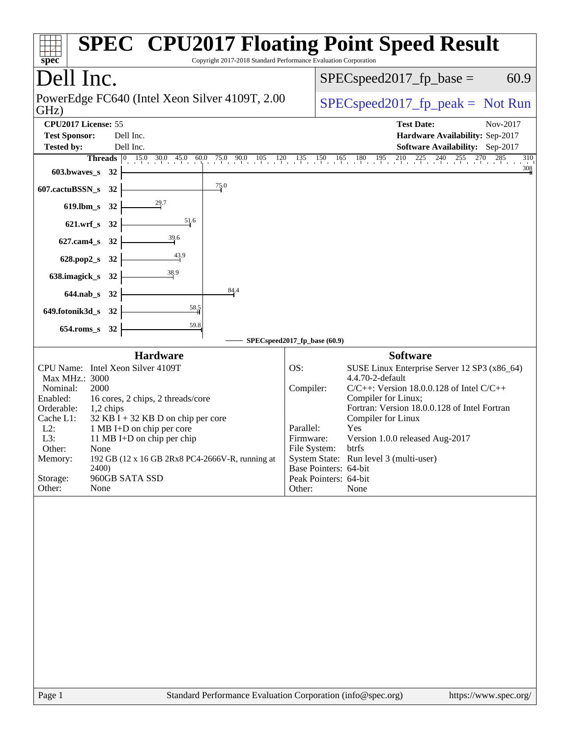| Copyright 2017-2018 Standard Performance Evaluation Corporation<br>spec <sup>®</sup>                                                                                                                                                                                                                                                                                                                                                | <b>SPEC<sup>®</sup> CPU2017 Floating Point Speed Result</b>                                                                                                                                                                                                                                                                                                                                                                                   |
|-------------------------------------------------------------------------------------------------------------------------------------------------------------------------------------------------------------------------------------------------------------------------------------------------------------------------------------------------------------------------------------------------------------------------------------|-----------------------------------------------------------------------------------------------------------------------------------------------------------------------------------------------------------------------------------------------------------------------------------------------------------------------------------------------------------------------------------------------------------------------------------------------|
| Dell Inc.                                                                                                                                                                                                                                                                                                                                                                                                                           | $SPEC speed2017_fp\_base =$<br>60.9                                                                                                                                                                                                                                                                                                                                                                                                           |
| PowerEdge FC640 (Intel Xeon Silver 4109T, 2.00)<br>GHz)                                                                                                                                                                                                                                                                                                                                                                             | $SPEC speed2017fr peak = Not Run$                                                                                                                                                                                                                                                                                                                                                                                                             |
| CPU2017 License: 55<br><b>Test Sponsor:</b><br>Dell Inc.<br>Tested by:<br>Dell Inc.                                                                                                                                                                                                                                                                                                                                                 | <b>Test Date:</b><br>Nov-2017<br>Hardware Availability: Sep-2017<br><b>Software Availability:</b> Sep-2017                                                                                                                                                                                                                                                                                                                                    |
| <b>Threads</b> $\begin{array}{ ccc } 0 & 15.0 & 30.0 & 45.0 & 6 \end{array}$<br>603.bwaves_s 32                                                                                                                                                                                                                                                                                                                                     | $\underbrace{60.0}_{1}$ 75.0 90.0 105 120 135 150 165 180 195 210 225 240 255 270 285<br>310<br>308                                                                                                                                                                                                                                                                                                                                           |
| 75.0<br>607.cactuBSSN_s<br>32                                                                                                                                                                                                                                                                                                                                                                                                       |                                                                                                                                                                                                                                                                                                                                                                                                                                               |
| 29.7<br>619.lbm_s 32                                                                                                                                                                                                                                                                                                                                                                                                                |                                                                                                                                                                                                                                                                                                                                                                                                                                               |
| $\frac{51}{6}$<br>621.wrf_s 32                                                                                                                                                                                                                                                                                                                                                                                                      |                                                                                                                                                                                                                                                                                                                                                                                                                                               |
| $\frac{39.6}{2}$<br>627.cam4_s 32                                                                                                                                                                                                                                                                                                                                                                                                   |                                                                                                                                                                                                                                                                                                                                                                                                                                               |
| 628.pop2_s 32                                                                                                                                                                                                                                                                                                                                                                                                                       |                                                                                                                                                                                                                                                                                                                                                                                                                                               |
| 638.imagick_s 32                                                                                                                                                                                                                                                                                                                                                                                                                    |                                                                                                                                                                                                                                                                                                                                                                                                                                               |
| 84.4<br>644.nab_s 32                                                                                                                                                                                                                                                                                                                                                                                                                |                                                                                                                                                                                                                                                                                                                                                                                                                                               |
| $\frac{58.5}{5}$<br>649.fotonik3d_s 32                                                                                                                                                                                                                                                                                                                                                                                              |                                                                                                                                                                                                                                                                                                                                                                                                                                               |
| 59.8<br>654.roms_s 32                                                                                                                                                                                                                                                                                                                                                                                                               |                                                                                                                                                                                                                                                                                                                                                                                                                                               |
| <b>Hardware</b>                                                                                                                                                                                                                                                                                                                                                                                                                     | SPECspeed2017_fp_base (60.9)<br><b>Software</b>                                                                                                                                                                                                                                                                                                                                                                                               |
| CPU Name: Intel Xeon Silver 4109T<br>Max MHz.: 3000<br>Nominal:<br>2000<br>Enabled:<br>16 cores, 2 chips, 2 threads/core<br>Orderable:<br>1,2 chips<br>Cache L1:<br>$32$ KB I + 32 KB D on chip per core<br>$L2$ :<br>1 MB I+D on chip per core<br>L3:<br>11 MB I+D on chip per chip<br>Other:<br>None<br>192 GB (12 x 16 GB 2Rx8 PC4-2666V-R, running at<br>Memory:<br><b>2400</b><br>Storage:<br>960GB SATA SSD<br>Other:<br>None | SUSE Linux Enterprise Server 12 SP3 (x86_64)<br>OS:<br>4.4.70-2-default<br>$C/C++$ : Version 18.0.0.128 of Intel $C/C++$<br>Compiler:<br>Compiler for Linux;<br>Fortran: Version 18.0.0.128 of Intel Fortran<br>Compiler for Linux<br>Yes<br>Parallel:<br>Version 1.0.0 released Aug-2017<br>Firmware:<br>File System:<br>btrfs<br>System State: Run level 3 (multi-user)<br>Base Pointers: 64-bit<br>Peak Pointers: 64-bit<br>Other:<br>None |
| Standard Performance Evaluation Corporation (info@spec.org)<br>Page 1                                                                                                                                                                                                                                                                                                                                                               | https://www.spec.org/                                                                                                                                                                                                                                                                                                                                                                                                                         |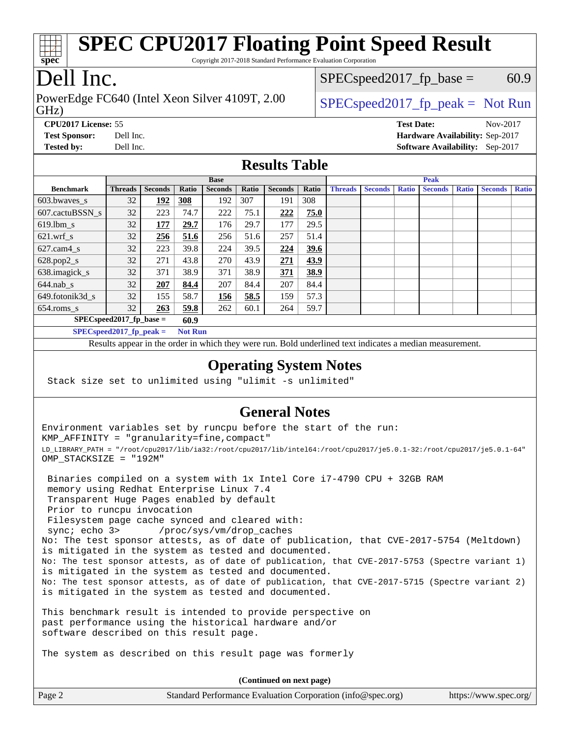

Copyright 2017-2018 Standard Performance Evaluation Corporation

## Dell Inc.

GHz) PowerEdge FC640 (Intel Xeon Silver 4109T, 2.00  $\big|$  [SPECspeed2017\\_fp\\_peak =](http://www.spec.org/auto/cpu2017/Docs/result-fields.html#SPECspeed2017fppeak) Not Run

 $SPECspeed2017_fp\_base = 60.9$ 

**[CPU2017 License:](http://www.spec.org/auto/cpu2017/Docs/result-fields.html#CPU2017License)** 55 **[Test Date:](http://www.spec.org/auto/cpu2017/Docs/result-fields.html#TestDate)** Nov-2017 **[Test Sponsor:](http://www.spec.org/auto/cpu2017/Docs/result-fields.html#TestSponsor)** Dell Inc. **[Hardware Availability:](http://www.spec.org/auto/cpu2017/Docs/result-fields.html#HardwareAvailability)** Sep-2017 **[Tested by:](http://www.spec.org/auto/cpu2017/Docs/result-fields.html#Testedby)** Dell Inc. **[Software Availability:](http://www.spec.org/auto/cpu2017/Docs/result-fields.html#SoftwareAvailability)** Sep-2017

### **[Results Table](http://www.spec.org/auto/cpu2017/Docs/result-fields.html#ResultsTable)**

|                          | <b>Base</b>                                  |                |       |                |       | <b>Peak</b>    |       |                |                |              |                |              |                |              |
|--------------------------|----------------------------------------------|----------------|-------|----------------|-------|----------------|-------|----------------|----------------|--------------|----------------|--------------|----------------|--------------|
| <b>Benchmark</b>         | <b>Threads</b>                               | <b>Seconds</b> | Ratio | <b>Seconds</b> | Ratio | <b>Seconds</b> | Ratio | <b>Threads</b> | <b>Seconds</b> | <b>Ratio</b> | <b>Seconds</b> | <b>Ratio</b> | <b>Seconds</b> | <b>Ratio</b> |
| $603.bwaves$ s           | 32                                           | 192            | 308   | 192            | 307   | 191            | 308   |                |                |              |                |              |                |              |
| 607.cactuBSSN s          | 32                                           | 223            | 74.7  | 222            | 75.1  | 222            | 75.0  |                |                |              |                |              |                |              |
| $619.1$ bm s             | 32                                           | 177            | 29.7  | 176            | 29.7  | 177            | 29.5  |                |                |              |                |              |                |              |
| $621$ .wrf s             | 32                                           | 256            | 51.6  | 256            | 51.6  | 257            | 51.4  |                |                |              |                |              |                |              |
| $627$ .cam $4 \text{ s}$ | 32                                           | 223            | 39.8  | 224            | 39.5  | 224            | 39.6  |                |                |              |                |              |                |              |
| $628.pop2_s$             | 32                                           | 271            | 43.8  | 270            | 43.9  | 271            | 43.9  |                |                |              |                |              |                |              |
| 638.imagick_s            | 32                                           | 371            | 38.9  | 371            | 38.9  | 371            | 38.9  |                |                |              |                |              |                |              |
| $644$ .nab s             | 32                                           | 207            | 84.4  | 207            | 84.4  | 207            | 84.4  |                |                |              |                |              |                |              |
| 649.fotonik3d s          | 32                                           | 155            | 58.7  | 156            | 58.5  | 159            | 57.3  |                |                |              |                |              |                |              |
| $654$ .roms_s            | 32                                           | 263            | 59.8  | 262            | 60.1  | 264            | 59.7  |                |                |              |                |              |                |              |
|                          | $SPEC speed2017$ fp base =<br>60.9           |                |       |                |       |                |       |                |                |              |                |              |                |              |
|                          | $SPECspeed2017_fp\_peak =$<br><b>Not Run</b> |                |       |                |       |                |       |                |                |              |                |              |                |              |

Results appear in the [order in which they were run.](http://www.spec.org/auto/cpu2017/Docs/result-fields.html#RunOrder) Bold underlined text [indicates a median measurement](http://www.spec.org/auto/cpu2017/Docs/result-fields.html#Median).

#### **[Operating System Notes](http://www.spec.org/auto/cpu2017/Docs/result-fields.html#OperatingSystemNotes)**

Stack size set to unlimited using "ulimit -s unlimited"

### **[General Notes](http://www.spec.org/auto/cpu2017/Docs/result-fields.html#GeneralNotes)**

Environment variables set by runcpu before the start of the run: KMP\_AFFINITY = "granularity=fine,compact" LD\_LIBRARY\_PATH = "/root/cpu2017/lib/ia32:/root/cpu2017/lib/intel64:/root/cpu2017/je5.0.1-32:/root/cpu2017/je5.0.1-64" OMP\_STACKSIZE = "192M"

 Binaries compiled on a system with 1x Intel Core i7-4790 CPU + 32GB RAM memory using Redhat Enterprise Linux 7.4 Transparent Huge Pages enabled by default Prior to runcpu invocation Filesystem page cache synced and cleared with: sync; echo 3> /proc/sys/vm/drop\_caches No: The test sponsor attests, as of date of publication, that CVE-2017-5754 (Meltdown) is mitigated in the system as tested and documented. No: The test sponsor attests, as of date of publication, that CVE-2017-5753 (Spectre variant 1) is mitigated in the system as tested and documented. No: The test sponsor attests, as of date of publication, that CVE-2017-5715 (Spectre variant 2) is mitigated in the system as tested and documented.

This benchmark result is intended to provide perspective on past performance using the historical hardware and/or software described on this result page.

The system as described on this result page was formerly

**(Continued on next page)**

| Page 2 | Standard Performance Evaluation Corporation (info@spec.org) | https://www.spec.org/ |
|--------|-------------------------------------------------------------|-----------------------|
|--------|-------------------------------------------------------------|-----------------------|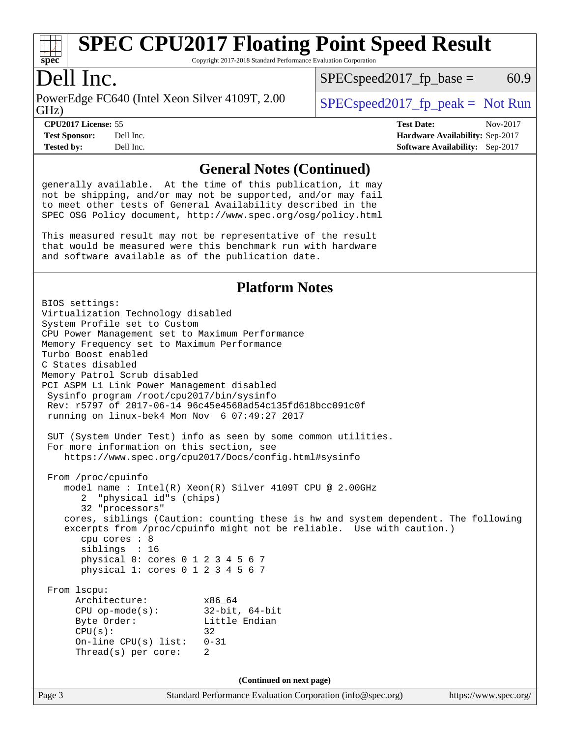

Copyright 2017-2018 Standard Performance Evaluation Corporation

### Dell Inc.

GHz) PowerEdge FC640 (Intel Xeon Silver 4109T, 2.00  $\big|$  [SPECspeed2017\\_fp\\_peak =](http://www.spec.org/auto/cpu2017/Docs/result-fields.html#SPECspeed2017fppeak) Not Run

 $SPEC speed2017_fp\_base = 60.9$ 

**[Test Sponsor:](http://www.spec.org/auto/cpu2017/Docs/result-fields.html#TestSponsor)** Dell Inc. **[Hardware Availability:](http://www.spec.org/auto/cpu2017/Docs/result-fields.html#HardwareAvailability)** Sep-2017 **[Tested by:](http://www.spec.org/auto/cpu2017/Docs/result-fields.html#Testedby)** Dell Inc. **[Software Availability:](http://www.spec.org/auto/cpu2017/Docs/result-fields.html#SoftwareAvailability)** Sep-2017

**[CPU2017 License:](http://www.spec.org/auto/cpu2017/Docs/result-fields.html#CPU2017License)** 55 **[Test Date:](http://www.spec.org/auto/cpu2017/Docs/result-fields.html#TestDate)** Nov-2017

### **[General Notes \(Continued\)](http://www.spec.org/auto/cpu2017/Docs/result-fields.html#GeneralNotes)**

generally available. At the time of this publication, it may not be shipping, and/or may not be supported, and/or may fail to meet other tests of General Availability described in the SPEC OSG Policy document, <http://www.spec.org/osg/policy.html>

This measured result may not be representative of the result that would be measured were this benchmark run with hardware and software available as of the publication date.

#### **[Platform Notes](http://www.spec.org/auto/cpu2017/Docs/result-fields.html#PlatformNotes)**

Page 3 Standard Performance Evaluation Corporation [\(info@spec.org\)](mailto:info@spec.org) <https://www.spec.org/> BIOS settings: Virtualization Technology disabled System Profile set to Custom CPU Power Management set to Maximum Performance Memory Frequency set to Maximum Performance Turbo Boost enabled C States disabled Memory Patrol Scrub disabled PCI ASPM L1 Link Power Management disabled Sysinfo program /root/cpu2017/bin/sysinfo Rev: r5797 of 2017-06-14 96c45e4568ad54c135fd618bcc091c0f running on linux-bek4 Mon Nov 6 07:49:27 2017 SUT (System Under Test) info as seen by some common utilities. For more information on this section, see <https://www.spec.org/cpu2017/Docs/config.html#sysinfo> From /proc/cpuinfo model name : Intel(R) Xeon(R) Silver 4109T CPU @ 2.00GHz 2 "physical id"s (chips) 32 "processors" cores, siblings (Caution: counting these is hw and system dependent. The following excerpts from /proc/cpuinfo might not be reliable. Use with caution.) cpu cores : 8 siblings : 16 physical 0: cores 0 1 2 3 4 5 6 7 physical 1: cores 0 1 2 3 4 5 6 7 From lscpu: Architecture: x86\_64 CPU op-mode(s): 32-bit, 64-bit Byte Order: Little Endian  $CPU(s):$  32 On-line CPU(s) list: 0-31 Thread(s) per core: 2 **(Continued on next page)**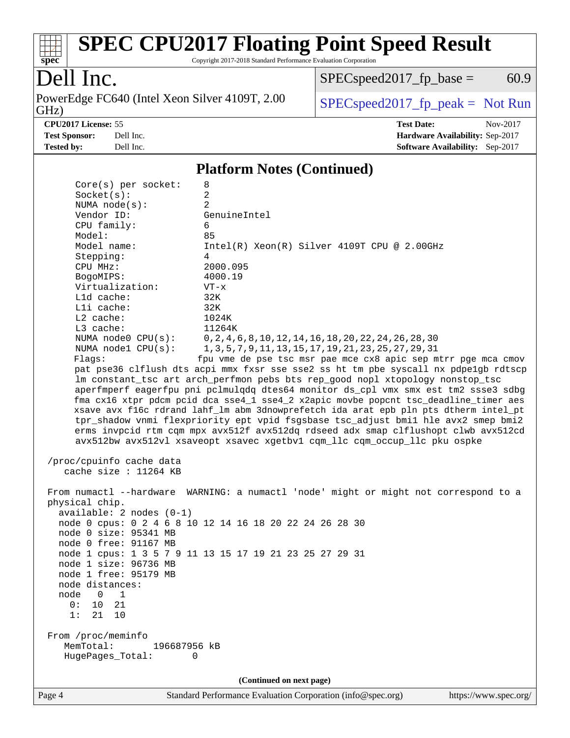

Copyright 2017-2018 Standard Performance Evaluation Corporation

## Dell Inc.

PowerEdge FC640 (Intel Xeon Silver 4109T, 2.00 GHz)

 $SPECspeed2017_fp\_base = 60.9$ 

 $SPECspeed2017_fp\_peak = Not Run$ 

**[CPU2017 License:](http://www.spec.org/auto/cpu2017/Docs/result-fields.html#CPU2017License)** 55 **[Test Date:](http://www.spec.org/auto/cpu2017/Docs/result-fields.html#TestDate)** Nov-2017 **[Test Sponsor:](http://www.spec.org/auto/cpu2017/Docs/result-fields.html#TestSponsor)** Dell Inc. **[Hardware Availability:](http://www.spec.org/auto/cpu2017/Docs/result-fields.html#HardwareAvailability)** Sep-2017 **[Tested by:](http://www.spec.org/auto/cpu2017/Docs/result-fields.html#Testedby)** Dell Inc. **[Software Availability:](http://www.spec.org/auto/cpu2017/Docs/result-fields.html#SoftwareAvailability)** Sep-2017

#### **[Platform Notes \(Continued\)](http://www.spec.org/auto/cpu2017/Docs/result-fields.html#PlatformNotes)**

| node 0 size: 95341 MB<br>node 0 free: 91167 MB<br>node 1 size: 96736 MB<br>node 1 free: 95179 MB<br>node distances:<br>node<br>$\Omega$<br>1<br>10<br>21<br>0:<br>1:<br>21<br>10<br>From /proc/meminfo<br>MemTotal:<br>HugePages_Total: | node 1 cpus: 1 3 5 7 9 11 13 15 17 19 21 23 25 27 29 31<br>196687956 kB<br>0<br>(Continued on next page)                                                                                                                                                                                                                                                                                                                                                                                                                                                                                                                                                                                                                                                                                                                                                                                                                                                                                                                |
|-----------------------------------------------------------------------------------------------------------------------------------------------------------------------------------------------------------------------------------------|-------------------------------------------------------------------------------------------------------------------------------------------------------------------------------------------------------------------------------------------------------------------------------------------------------------------------------------------------------------------------------------------------------------------------------------------------------------------------------------------------------------------------------------------------------------------------------------------------------------------------------------------------------------------------------------------------------------------------------------------------------------------------------------------------------------------------------------------------------------------------------------------------------------------------------------------------------------------------------------------------------------------------|
|                                                                                                                                                                                                                                         |                                                                                                                                                                                                                                                                                                                                                                                                                                                                                                                                                                                                                                                                                                                                                                                                                                                                                                                                                                                                                         |
| physical chip.<br>$available: 2 nodes (0-1)$                                                                                                                                                                                            | From numactl --hardware WARNING: a numactl 'node' might or might not correspond to a<br>node 0 cpus: 0 2 4 6 8 10 12 14 16 18 20 22 24 26 28 30                                                                                                                                                                                                                                                                                                                                                                                                                                                                                                                                                                                                                                                                                                                                                                                                                                                                         |
| Stepping:<br>CPU MHz:<br>BogoMIPS:<br>Virtualization:<br>L1d cache:<br>Lli cache:<br>L2 cache:<br>L3 cache:<br>NUMA node0 CPU(s):<br>NUMA nodel $CPU(s):$<br>Flags:<br>/proc/cpuinfo cache data<br>cache size : 11264 KB                | $Intel(R) Xeon(R) Silver 4109T CPU @ 2.00GHz$<br>4<br>2000.095<br>4000.19<br>$VT - x$<br>32K<br>32K<br>1024K<br>11264K<br>0, 2, 4, 6, 8, 10, 12, 14, 16, 18, 20, 22, 24, 26, 28, 30<br>1, 3, 5, 7, 9, 11, 13, 15, 17, 19, 21, 23, 25, 27, 29, 31<br>fpu vme de pse tsc msr pae mce cx8 apic sep mtrr pge mca cmov<br>pat pse36 clflush dts acpi mmx fxsr sse sse2 ss ht tm pbe syscall nx pdpelgb rdtscp<br>lm constant_tsc art arch_perfmon pebs bts rep_good nopl xtopology nonstop_tsc<br>aperfmperf eagerfpu pni pclmulqdq dtes64 monitor ds_cpl vmx smx est tm2 ssse3 sdbg<br>fma cx16 xtpr pdcm pcid dca sse4_1 sse4_2 x2apic movbe popcnt tsc_deadline_timer aes<br>xsave avx f16c rdrand lahf_lm abm 3dnowprefetch ida arat epb pln pts dtherm intel_pt<br>tpr_shadow vnmi flexpriority ept vpid fsgsbase tsc_adjust bmil hle avx2 smep bmi2<br>erms invpcid rtm cqm mpx avx512f avx512dq rdseed adx smap clflushopt clwb avx512cd<br>avx512bw avx512vl xsaveopt xsavec xgetbvl cqm_llc cqm_occup_llc pku ospke |
| Socket(s):<br>NUMA $node(s)$ :<br>Vendor ID:<br>CPU family:<br>Model:<br>Model name:                                                                                                                                                    | 2<br>2<br>GenuineIntel<br>6<br>85                                                                                                                                                                                                                                                                                                                                                                                                                                                                                                                                                                                                                                                                                                                                                                                                                                                                                                                                                                                       |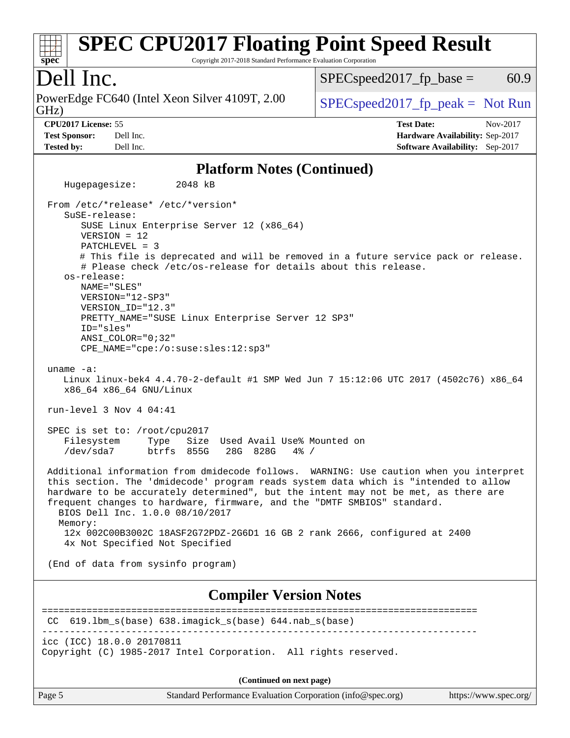#### **[spec](http://www.spec.org/) [SPEC CPU2017 Floating Point Speed Result](http://www.spec.org/auto/cpu2017/Docs/result-fields.html#SPECCPU2017FloatingPointSpeedResult)** Copyright 2017-2018 Standard Performance Evaluation Corporation Dell Inc. GHz) PowerEdge FC640 (Intel Xeon Silver 4109T, 2.00  $\big|$  [SPECspeed2017\\_fp\\_peak =](http://www.spec.org/auto/cpu2017/Docs/result-fields.html#SPECspeed2017fppeak) Not Run  $SPEC speed2017<sub>fp</sub> base = 60.9$ **[CPU2017 License:](http://www.spec.org/auto/cpu2017/Docs/result-fields.html#CPU2017License)** 55 **[Test Date:](http://www.spec.org/auto/cpu2017/Docs/result-fields.html#TestDate)** Nov-2017 **[Test Sponsor:](http://www.spec.org/auto/cpu2017/Docs/result-fields.html#TestSponsor)** Dell Inc. **[Hardware Availability:](http://www.spec.org/auto/cpu2017/Docs/result-fields.html#HardwareAvailability)** Sep-2017 **[Tested by:](http://www.spec.org/auto/cpu2017/Docs/result-fields.html#Testedby)** Dell Inc. **[Software Availability:](http://www.spec.org/auto/cpu2017/Docs/result-fields.html#SoftwareAvailability)** Sep-2017 **[Platform Notes \(Continued\)](http://www.spec.org/auto/cpu2017/Docs/result-fields.html#PlatformNotes)** Hugepagesize: 2048 kB From /etc/\*release\* /etc/\*version\* SuSE-release: SUSE Linux Enterprise Server 12 (x86\_64) VERSION = 12 PATCHLEVEL = 3 # This file is deprecated and will be removed in a future service pack or release. # Please check /etc/os-release for details about this release. os-release: NAME="SLES" VERSION="12-SP3" VERSION\_ID="12.3" PRETTY\_NAME="SUSE Linux Enterprise Server 12 SP3" ID="sles" ANSI\_COLOR="0;32" CPE\_NAME="cpe:/o:suse:sles:12:sp3" uname -a: Linux linux-bek4 4.4.70-2-default #1 SMP Wed Jun 7 15:12:06 UTC 2017 (4502c76) x86\_64 x86\_64 x86\_64 GNU/Linux run-level 3 Nov 4 04:41 SPEC is set to: /root/cpu2017 Filesystem Type Size Used Avail Use% Mounted on /dev/sda7 btrfs 855G 28G 828G 4% / Additional information from dmidecode follows. WARNING: Use caution when you interpret this section. The 'dmidecode' program reads system data which is "intended to allow hardware to be accurately determined", but the intent may not be met, as there are frequent changes to hardware, firmware, and the "DMTF SMBIOS" standard. BIOS Dell Inc. 1.0.0 08/10/2017 Memory: 12x 002C00B3002C 18ASF2G72PDZ-2G6D1 16 GB 2 rank 2666, configured at 2400 4x Not Specified Not Specified (End of data from sysinfo program)

### **[Compiler Version Notes](http://www.spec.org/auto/cpu2017/Docs/result-fields.html#CompilerVersionNotes)**

============================================================================== CC 619.lbm\_s(base) 638.imagick\_s(base) 644.nab\_s(base) ----------------------------------------------------------------------------- icc (ICC) 18.0.0 20170811 Copyright (C) 1985-2017 Intel Corporation. All rights reserved.

**(Continued on next page)**

Page 5 Standard Performance Evaluation Corporation [\(info@spec.org\)](mailto:info@spec.org) <https://www.spec.org/>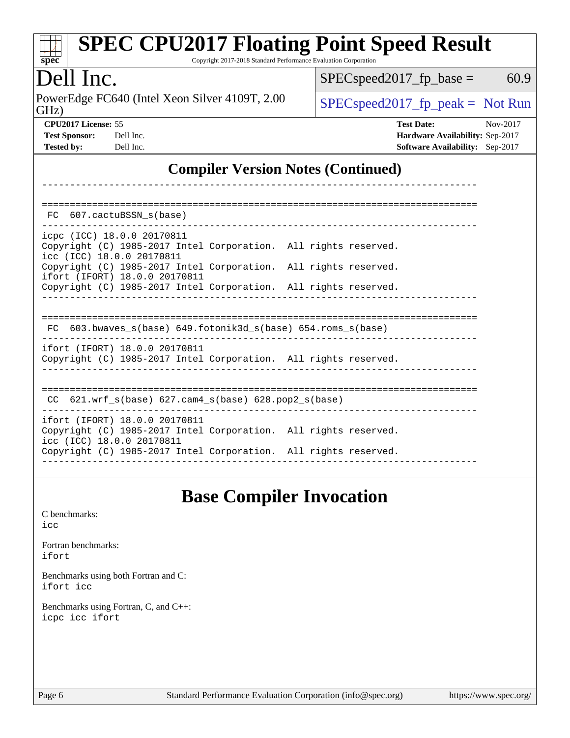| Dell Inc.                                                                                                                                      | 60.9<br>$SPEC speed2017_fp\_base =$<br>$SPEC speed2017_fp\_peak = Not Run$                                 |  |  |  |  |
|------------------------------------------------------------------------------------------------------------------------------------------------|------------------------------------------------------------------------------------------------------------|--|--|--|--|
| PowerEdge FC640 (Intel Xeon Silver 4109T, 2.00)<br>GHz)                                                                                        |                                                                                                            |  |  |  |  |
| CPU2017 License: 55<br><b>Test Sponsor:</b><br>Dell Inc.<br><b>Tested by:</b><br>Dell Inc.                                                     | <b>Test Date:</b><br>Nov-2017<br>Hardware Availability: Sep-2017<br><b>Software Availability:</b> Sep-2017 |  |  |  |  |
| <b>Compiler Version Notes (Continued)</b>                                                                                                      |                                                                                                            |  |  |  |  |
| FC 607.cactuBSSN s(base)                                                                                                                       |                                                                                                            |  |  |  |  |
| icpc (ICC) 18.0.0 20170811<br>Copyright (C) 1985-2017 Intel Corporation. All rights reserved.<br>icc (ICC) 18.0.0 20170811                     |                                                                                                            |  |  |  |  |
| Copyright (C) 1985-2017 Intel Corporation.<br>ifort (IFORT) 18.0.0 20170811<br>Copyright (C) 1985-2017 Intel Corporation. All rights reserved. | All rights reserved.                                                                                       |  |  |  |  |
| FC 603.bwaves_s(base) 649.fotonik3d_s(base) 654.roms_s(base)                                                                                   |                                                                                                            |  |  |  |  |
| ifort (IFORT) 18.0.0 20170811<br>Copyright (C) 1985-2017 Intel Corporation. All rights reserved.                                               |                                                                                                            |  |  |  |  |
| CC 621.wrf_s(base) 627.cam4_s(base) 628.pop2_s(base)                                                                                           |                                                                                                            |  |  |  |  |
| ifort (IFORT) 18.0.0 20170811<br>Copyright (C) 1985-2017 Intel Corporation. All rights reserved.<br>icc (ICC) 18.0.0 20170811                  |                                                                                                            |  |  |  |  |
| Copyright (C) 1985-2017 Intel Corporation. All rights reserved.                                                                                |                                                                                                            |  |  |  |  |

[C benchmarks](http://www.spec.org/auto/cpu2017/Docs/result-fields.html#Cbenchmarks):

[icc](http://www.spec.org/cpu2017/results/res2018q1/cpu2017-20180122-02862.flags.html#user_CCbase_intel_icc_18.0_66fc1ee009f7361af1fbd72ca7dcefbb700085f36577c54f309893dd4ec40d12360134090235512931783d35fd58c0460139e722d5067c5574d8eaf2b3e37e92)

[Fortran benchmarks](http://www.spec.org/auto/cpu2017/Docs/result-fields.html#Fortranbenchmarks): [ifort](http://www.spec.org/cpu2017/results/res2018q1/cpu2017-20180122-02862.flags.html#user_FCbase_intel_ifort_18.0_8111460550e3ca792625aed983ce982f94888b8b503583aa7ba2b8303487b4d8a21a13e7191a45c5fd58ff318f48f9492884d4413fa793fd88dd292cad7027ca)

[Benchmarks using both Fortran and C](http://www.spec.org/auto/cpu2017/Docs/result-fields.html#BenchmarksusingbothFortranandC): [ifort](http://www.spec.org/cpu2017/results/res2018q1/cpu2017-20180122-02862.flags.html#user_CC_FCbase_intel_ifort_18.0_8111460550e3ca792625aed983ce982f94888b8b503583aa7ba2b8303487b4d8a21a13e7191a45c5fd58ff318f48f9492884d4413fa793fd88dd292cad7027ca) [icc](http://www.spec.org/cpu2017/results/res2018q1/cpu2017-20180122-02862.flags.html#user_CC_FCbase_intel_icc_18.0_66fc1ee009f7361af1fbd72ca7dcefbb700085f36577c54f309893dd4ec40d12360134090235512931783d35fd58c0460139e722d5067c5574d8eaf2b3e37e92)

[Benchmarks using Fortran, C, and C++:](http://www.spec.org/auto/cpu2017/Docs/result-fields.html#BenchmarksusingFortranCandCXX) [icpc](http://www.spec.org/cpu2017/results/res2018q1/cpu2017-20180122-02862.flags.html#user_CC_CXX_FCbase_intel_icpc_18.0_c510b6838c7f56d33e37e94d029a35b4a7bccf4766a728ee175e80a419847e808290a9b78be685c44ab727ea267ec2f070ec5dc83b407c0218cded6866a35d07) [icc](http://www.spec.org/cpu2017/results/res2018q1/cpu2017-20180122-02862.flags.html#user_CC_CXX_FCbase_intel_icc_18.0_66fc1ee009f7361af1fbd72ca7dcefbb700085f36577c54f309893dd4ec40d12360134090235512931783d35fd58c0460139e722d5067c5574d8eaf2b3e37e92) [ifort](http://www.spec.org/cpu2017/results/res2018q1/cpu2017-20180122-02862.flags.html#user_CC_CXX_FCbase_intel_ifort_18.0_8111460550e3ca792625aed983ce982f94888b8b503583aa7ba2b8303487b4d8a21a13e7191a45c5fd58ff318f48f9492884d4413fa793fd88dd292cad7027ca)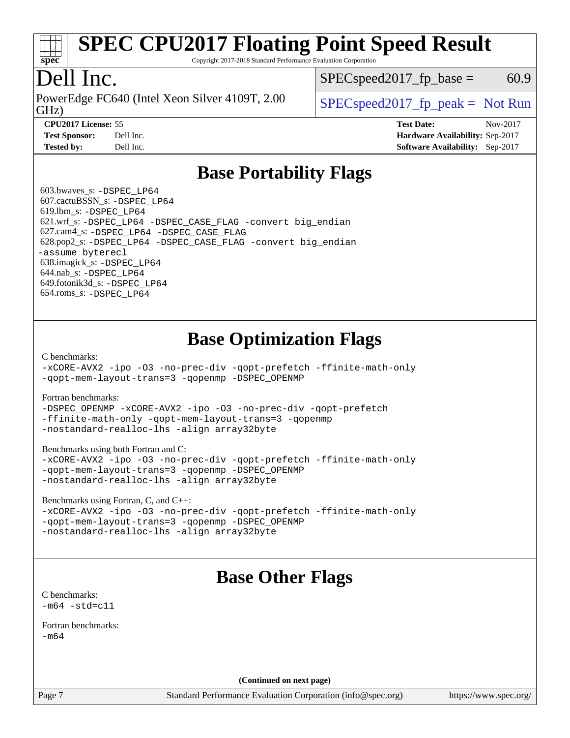

Copyright 2017-2018 Standard Performance Evaluation Corporation

### Dell Inc.

GHz) PowerEdge FC640 (Intel Xeon Silver 4109T, 2.00  $\big|$  [SPECspeed2017\\_fp\\_peak =](http://www.spec.org/auto/cpu2017/Docs/result-fields.html#SPECspeed2017fppeak) Not Run

 $SPEC speed2017_fp\_base = 60.9$ 

**[CPU2017 License:](http://www.spec.org/auto/cpu2017/Docs/result-fields.html#CPU2017License)** 55 **[Test Date:](http://www.spec.org/auto/cpu2017/Docs/result-fields.html#TestDate)** Nov-2017 **[Test Sponsor:](http://www.spec.org/auto/cpu2017/Docs/result-fields.html#TestSponsor)** Dell Inc. **[Hardware Availability:](http://www.spec.org/auto/cpu2017/Docs/result-fields.html#HardwareAvailability)** Sep-2017 **[Tested by:](http://www.spec.org/auto/cpu2017/Docs/result-fields.html#Testedby)** Dell Inc. **[Software Availability:](http://www.spec.org/auto/cpu2017/Docs/result-fields.html#SoftwareAvailability)** Sep-2017

### **[Base Portability Flags](http://www.spec.org/auto/cpu2017/Docs/result-fields.html#BasePortabilityFlags)**

 603.bwaves\_s: [-DSPEC\\_LP64](http://www.spec.org/cpu2017/results/res2018q1/cpu2017-20180122-02862.flags.html#suite_basePORTABILITY603_bwaves_s_DSPEC_LP64) 607.cactuBSSN\_s: [-DSPEC\\_LP64](http://www.spec.org/cpu2017/results/res2018q1/cpu2017-20180122-02862.flags.html#suite_basePORTABILITY607_cactuBSSN_s_DSPEC_LP64) 619.lbm\_s: [-DSPEC\\_LP64](http://www.spec.org/cpu2017/results/res2018q1/cpu2017-20180122-02862.flags.html#suite_basePORTABILITY619_lbm_s_DSPEC_LP64) 621.wrf\_s: [-DSPEC\\_LP64](http://www.spec.org/cpu2017/results/res2018q1/cpu2017-20180122-02862.flags.html#suite_basePORTABILITY621_wrf_s_DSPEC_LP64) [-DSPEC\\_CASE\\_FLAG](http://www.spec.org/cpu2017/results/res2018q1/cpu2017-20180122-02862.flags.html#b621.wrf_s_baseCPORTABILITY_DSPEC_CASE_FLAG) [-convert big\\_endian](http://www.spec.org/cpu2017/results/res2018q1/cpu2017-20180122-02862.flags.html#user_baseFPORTABILITY621_wrf_s_convert_big_endian_c3194028bc08c63ac5d04de18c48ce6d347e4e562e8892b8bdbdc0214820426deb8554edfa529a3fb25a586e65a3d812c835984020483e7e73212c4d31a38223) 627.cam4\_s: [-DSPEC\\_LP64](http://www.spec.org/cpu2017/results/res2018q1/cpu2017-20180122-02862.flags.html#suite_basePORTABILITY627_cam4_s_DSPEC_LP64) [-DSPEC\\_CASE\\_FLAG](http://www.spec.org/cpu2017/results/res2018q1/cpu2017-20180122-02862.flags.html#b627.cam4_s_baseCPORTABILITY_DSPEC_CASE_FLAG) 628.pop2\_s: [-DSPEC\\_LP64](http://www.spec.org/cpu2017/results/res2018q1/cpu2017-20180122-02862.flags.html#suite_basePORTABILITY628_pop2_s_DSPEC_LP64) [-DSPEC\\_CASE\\_FLAG](http://www.spec.org/cpu2017/results/res2018q1/cpu2017-20180122-02862.flags.html#b628.pop2_s_baseCPORTABILITY_DSPEC_CASE_FLAG) [-convert big\\_endian](http://www.spec.org/cpu2017/results/res2018q1/cpu2017-20180122-02862.flags.html#user_baseFPORTABILITY628_pop2_s_convert_big_endian_c3194028bc08c63ac5d04de18c48ce6d347e4e562e8892b8bdbdc0214820426deb8554edfa529a3fb25a586e65a3d812c835984020483e7e73212c4d31a38223) [-assume byterecl](http://www.spec.org/cpu2017/results/res2018q1/cpu2017-20180122-02862.flags.html#user_baseFPORTABILITY628_pop2_s_assume_byterecl_7e47d18b9513cf18525430bbf0f2177aa9bf368bc7a059c09b2c06a34b53bd3447c950d3f8d6c70e3faf3a05c8557d66a5798b567902e8849adc142926523472) 638.imagick\_s: [-DSPEC\\_LP64](http://www.spec.org/cpu2017/results/res2018q1/cpu2017-20180122-02862.flags.html#suite_basePORTABILITY638_imagick_s_DSPEC_LP64) 644.nab\_s: [-DSPEC\\_LP64](http://www.spec.org/cpu2017/results/res2018q1/cpu2017-20180122-02862.flags.html#suite_basePORTABILITY644_nab_s_DSPEC_LP64) 649.fotonik3d\_s: [-DSPEC\\_LP64](http://www.spec.org/cpu2017/results/res2018q1/cpu2017-20180122-02862.flags.html#suite_basePORTABILITY649_fotonik3d_s_DSPEC_LP64) 654.roms\_s: [-DSPEC\\_LP64](http://www.spec.org/cpu2017/results/res2018q1/cpu2017-20180122-02862.flags.html#suite_basePORTABILITY654_roms_s_DSPEC_LP64)

### **[Base Optimization Flags](http://www.spec.org/auto/cpu2017/Docs/result-fields.html#BaseOptimizationFlags)**

[C benchmarks](http://www.spec.org/auto/cpu2017/Docs/result-fields.html#Cbenchmarks):

[-xCORE-AVX2](http://www.spec.org/cpu2017/results/res2018q1/cpu2017-20180122-02862.flags.html#user_CCbase_f-xCORE-AVX2) [-ipo](http://www.spec.org/cpu2017/results/res2018q1/cpu2017-20180122-02862.flags.html#user_CCbase_f-ipo) [-O3](http://www.spec.org/cpu2017/results/res2018q1/cpu2017-20180122-02862.flags.html#user_CCbase_f-O3) [-no-prec-div](http://www.spec.org/cpu2017/results/res2018q1/cpu2017-20180122-02862.flags.html#user_CCbase_f-no-prec-div) [-qopt-prefetch](http://www.spec.org/cpu2017/results/res2018q1/cpu2017-20180122-02862.flags.html#user_CCbase_f-qopt-prefetch) [-ffinite-math-only](http://www.spec.org/cpu2017/results/res2018q1/cpu2017-20180122-02862.flags.html#user_CCbase_f_finite_math_only_cb91587bd2077682c4b38af759c288ed7c732db004271a9512da14a4f8007909a5f1427ecbf1a0fb78ff2a814402c6114ac565ca162485bbcae155b5e4258871) [-qopt-mem-layout-trans=3](http://www.spec.org/cpu2017/results/res2018q1/cpu2017-20180122-02862.flags.html#user_CCbase_f-qopt-mem-layout-trans_de80db37974c74b1f0e20d883f0b675c88c3b01e9d123adea9b28688d64333345fb62bc4a798493513fdb68f60282f9a726aa07f478b2f7113531aecce732043) [-qopenmp](http://www.spec.org/cpu2017/results/res2018q1/cpu2017-20180122-02862.flags.html#user_CCbase_qopenmp_16be0c44f24f464004c6784a7acb94aca937f053568ce72f94b139a11c7c168634a55f6653758ddd83bcf7b8463e8028bb0b48b77bcddc6b78d5d95bb1df2967) [-DSPEC\\_OPENMP](http://www.spec.org/cpu2017/results/res2018q1/cpu2017-20180122-02862.flags.html#suite_CCbase_DSPEC_OPENMP)

[Fortran benchmarks](http://www.spec.org/auto/cpu2017/Docs/result-fields.html#Fortranbenchmarks):

[-DSPEC\\_OPENMP](http://www.spec.org/cpu2017/results/res2018q1/cpu2017-20180122-02862.flags.html#suite_FCbase_DSPEC_OPENMP) [-xCORE-AVX2](http://www.spec.org/cpu2017/results/res2018q1/cpu2017-20180122-02862.flags.html#user_FCbase_f-xCORE-AVX2) [-ipo](http://www.spec.org/cpu2017/results/res2018q1/cpu2017-20180122-02862.flags.html#user_FCbase_f-ipo) [-O3](http://www.spec.org/cpu2017/results/res2018q1/cpu2017-20180122-02862.flags.html#user_FCbase_f-O3) [-no-prec-div](http://www.spec.org/cpu2017/results/res2018q1/cpu2017-20180122-02862.flags.html#user_FCbase_f-no-prec-div) [-qopt-prefetch](http://www.spec.org/cpu2017/results/res2018q1/cpu2017-20180122-02862.flags.html#user_FCbase_f-qopt-prefetch) [-ffinite-math-only](http://www.spec.org/cpu2017/results/res2018q1/cpu2017-20180122-02862.flags.html#user_FCbase_f_finite_math_only_cb91587bd2077682c4b38af759c288ed7c732db004271a9512da14a4f8007909a5f1427ecbf1a0fb78ff2a814402c6114ac565ca162485bbcae155b5e4258871) [-qopt-mem-layout-trans=3](http://www.spec.org/cpu2017/results/res2018q1/cpu2017-20180122-02862.flags.html#user_FCbase_f-qopt-mem-layout-trans_de80db37974c74b1f0e20d883f0b675c88c3b01e9d123adea9b28688d64333345fb62bc4a798493513fdb68f60282f9a726aa07f478b2f7113531aecce732043) [-qopenmp](http://www.spec.org/cpu2017/results/res2018q1/cpu2017-20180122-02862.flags.html#user_FCbase_qopenmp_16be0c44f24f464004c6784a7acb94aca937f053568ce72f94b139a11c7c168634a55f6653758ddd83bcf7b8463e8028bb0b48b77bcddc6b78d5d95bb1df2967) [-nostandard-realloc-lhs](http://www.spec.org/cpu2017/results/res2018q1/cpu2017-20180122-02862.flags.html#user_FCbase_f_2003_std_realloc_82b4557e90729c0f113870c07e44d33d6f5a304b4f63d4c15d2d0f1fab99f5daaed73bdb9275d9ae411527f28b936061aa8b9c8f2d63842963b95c9dd6426b8a) [-align array32byte](http://www.spec.org/cpu2017/results/res2018q1/cpu2017-20180122-02862.flags.html#user_FCbase_align_array32byte_b982fe038af199962ba9a80c053b8342c548c85b40b8e86eb3cc33dee0d7986a4af373ac2d51c3f7cf710a18d62fdce2948f201cd044323541f22fc0fffc51b6)

[Benchmarks using both Fortran and C](http://www.spec.org/auto/cpu2017/Docs/result-fields.html#BenchmarksusingbothFortranandC):

[-xCORE-AVX2](http://www.spec.org/cpu2017/results/res2018q1/cpu2017-20180122-02862.flags.html#user_CC_FCbase_f-xCORE-AVX2) [-ipo](http://www.spec.org/cpu2017/results/res2018q1/cpu2017-20180122-02862.flags.html#user_CC_FCbase_f-ipo) [-O3](http://www.spec.org/cpu2017/results/res2018q1/cpu2017-20180122-02862.flags.html#user_CC_FCbase_f-O3) [-no-prec-div](http://www.spec.org/cpu2017/results/res2018q1/cpu2017-20180122-02862.flags.html#user_CC_FCbase_f-no-prec-div) [-qopt-prefetch](http://www.spec.org/cpu2017/results/res2018q1/cpu2017-20180122-02862.flags.html#user_CC_FCbase_f-qopt-prefetch) [-ffinite-math-only](http://www.spec.org/cpu2017/results/res2018q1/cpu2017-20180122-02862.flags.html#user_CC_FCbase_f_finite_math_only_cb91587bd2077682c4b38af759c288ed7c732db004271a9512da14a4f8007909a5f1427ecbf1a0fb78ff2a814402c6114ac565ca162485bbcae155b5e4258871) [-qopt-mem-layout-trans=3](http://www.spec.org/cpu2017/results/res2018q1/cpu2017-20180122-02862.flags.html#user_CC_FCbase_f-qopt-mem-layout-trans_de80db37974c74b1f0e20d883f0b675c88c3b01e9d123adea9b28688d64333345fb62bc4a798493513fdb68f60282f9a726aa07f478b2f7113531aecce732043) [-qopenmp](http://www.spec.org/cpu2017/results/res2018q1/cpu2017-20180122-02862.flags.html#user_CC_FCbase_qopenmp_16be0c44f24f464004c6784a7acb94aca937f053568ce72f94b139a11c7c168634a55f6653758ddd83bcf7b8463e8028bb0b48b77bcddc6b78d5d95bb1df2967) [-DSPEC\\_OPENMP](http://www.spec.org/cpu2017/results/res2018q1/cpu2017-20180122-02862.flags.html#suite_CC_FCbase_DSPEC_OPENMP) [-nostandard-realloc-lhs](http://www.spec.org/cpu2017/results/res2018q1/cpu2017-20180122-02862.flags.html#user_CC_FCbase_f_2003_std_realloc_82b4557e90729c0f113870c07e44d33d6f5a304b4f63d4c15d2d0f1fab99f5daaed73bdb9275d9ae411527f28b936061aa8b9c8f2d63842963b95c9dd6426b8a) [-align array32byte](http://www.spec.org/cpu2017/results/res2018q1/cpu2017-20180122-02862.flags.html#user_CC_FCbase_align_array32byte_b982fe038af199962ba9a80c053b8342c548c85b40b8e86eb3cc33dee0d7986a4af373ac2d51c3f7cf710a18d62fdce2948f201cd044323541f22fc0fffc51b6)

[Benchmarks using Fortran, C, and C++:](http://www.spec.org/auto/cpu2017/Docs/result-fields.html#BenchmarksusingFortranCandCXX)

[-xCORE-AVX2](http://www.spec.org/cpu2017/results/res2018q1/cpu2017-20180122-02862.flags.html#user_CC_CXX_FCbase_f-xCORE-AVX2) [-ipo](http://www.spec.org/cpu2017/results/res2018q1/cpu2017-20180122-02862.flags.html#user_CC_CXX_FCbase_f-ipo) [-O3](http://www.spec.org/cpu2017/results/res2018q1/cpu2017-20180122-02862.flags.html#user_CC_CXX_FCbase_f-O3) [-no-prec-div](http://www.spec.org/cpu2017/results/res2018q1/cpu2017-20180122-02862.flags.html#user_CC_CXX_FCbase_f-no-prec-div) [-qopt-prefetch](http://www.spec.org/cpu2017/results/res2018q1/cpu2017-20180122-02862.flags.html#user_CC_CXX_FCbase_f-qopt-prefetch) [-ffinite-math-only](http://www.spec.org/cpu2017/results/res2018q1/cpu2017-20180122-02862.flags.html#user_CC_CXX_FCbase_f_finite_math_only_cb91587bd2077682c4b38af759c288ed7c732db004271a9512da14a4f8007909a5f1427ecbf1a0fb78ff2a814402c6114ac565ca162485bbcae155b5e4258871) [-qopt-mem-layout-trans=3](http://www.spec.org/cpu2017/results/res2018q1/cpu2017-20180122-02862.flags.html#user_CC_CXX_FCbase_f-qopt-mem-layout-trans_de80db37974c74b1f0e20d883f0b675c88c3b01e9d123adea9b28688d64333345fb62bc4a798493513fdb68f60282f9a726aa07f478b2f7113531aecce732043) [-qopenmp](http://www.spec.org/cpu2017/results/res2018q1/cpu2017-20180122-02862.flags.html#user_CC_CXX_FCbase_qopenmp_16be0c44f24f464004c6784a7acb94aca937f053568ce72f94b139a11c7c168634a55f6653758ddd83bcf7b8463e8028bb0b48b77bcddc6b78d5d95bb1df2967) [-DSPEC\\_OPENMP](http://www.spec.org/cpu2017/results/res2018q1/cpu2017-20180122-02862.flags.html#suite_CC_CXX_FCbase_DSPEC_OPENMP) [-nostandard-realloc-lhs](http://www.spec.org/cpu2017/results/res2018q1/cpu2017-20180122-02862.flags.html#user_CC_CXX_FCbase_f_2003_std_realloc_82b4557e90729c0f113870c07e44d33d6f5a304b4f63d4c15d2d0f1fab99f5daaed73bdb9275d9ae411527f28b936061aa8b9c8f2d63842963b95c9dd6426b8a) [-align array32byte](http://www.spec.org/cpu2017/results/res2018q1/cpu2017-20180122-02862.flags.html#user_CC_CXX_FCbase_align_array32byte_b982fe038af199962ba9a80c053b8342c548c85b40b8e86eb3cc33dee0d7986a4af373ac2d51c3f7cf710a18d62fdce2948f201cd044323541f22fc0fffc51b6)

## **[Base Other Flags](http://www.spec.org/auto/cpu2017/Docs/result-fields.html#BaseOtherFlags)**

[C benchmarks](http://www.spec.org/auto/cpu2017/Docs/result-fields.html#Cbenchmarks):  $-m64 - std= c11$  $-m64 - std= c11$ 

[Fortran benchmarks](http://www.spec.org/auto/cpu2017/Docs/result-fields.html#Fortranbenchmarks):  $-m64$ 

**(Continued on next page)**

Page 7 Standard Performance Evaluation Corporation [\(info@spec.org\)](mailto:info@spec.org) <https://www.spec.org/>